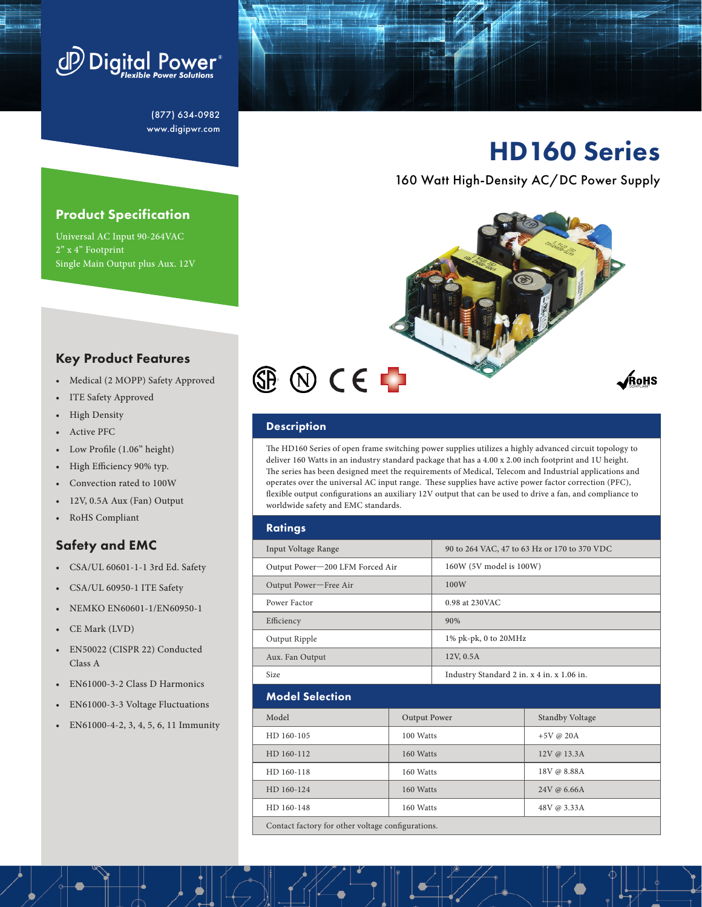

(877) 634-0982 www.digipwr.com

# HD160 Series

160 Watt High-Density AC/DC Power Supply



## Key Product Features

Product Specification Universal AC Input 90‐264VAC

Single Main Output plus Aux. 12V

- Medical (2 MOPP) Safety Approved
- ITE Safety Approved
- High Density

2" x 4" Footprint

- Active PFC
- Low Profile (1.06" height)
- High Efficiency 90% typ.
- Convection rated to 100W
- 12V, 0.5A Aux (Fan) Output
- RoHS Compliant

# Safety and EMC

- CSA/UL 60601-1-1 3rd Ed. Safety
- CSA/UL 60950-1 ITE Safety
- NEMKO EN60601-1/EN60950-1
- CE Mark (LVD)
- EN50022 (CISPR 22) Conducted Class A
- EN61000-3-2 Class D Harmonics
- EN61000-3-3 Voltage Fluctuations
- EN61000-4-2, 3, 4, 5, 6, 11 Immunity

### **Description**

The HD160 Series of open frame switching power supplies utilizes a highly advanced circuit topology to deliver 160 Watts in an industry standard package that has a 4.00 x 2.00 inch footprint and 1U height. The series has been designed meet the requirements of Medical, Telecom and Industrial applications and operates over the universal AC input range. These supplies have active power factor correction (PFC), flexible output configurations an auxiliary 12V output that can be used to drive a fan, and compliance to worldwide safety and EMC standards.

| <b>Ratings</b>                                    |  |                                            |                                              |                        |  |
|---------------------------------------------------|--|--------------------------------------------|----------------------------------------------|------------------------|--|
| Input Voltage Range                               |  |                                            | 90 to 264 VAC, 47 to 63 Hz or 170 to 370 VDC |                        |  |
| Output Power-200 LFM Forced Air                   |  |                                            | 160W (5V model is 100W)                      |                        |  |
| Output Power-Free Air                             |  |                                            | 100W                                         |                        |  |
| Power Factor                                      |  |                                            | 0.98 at 230 VAC                              |                        |  |
| Efficiency                                        |  | 90%                                        |                                              |                        |  |
| Output Ripple                                     |  | 1% pk-pk, 0 to 20MHz                       |                                              |                        |  |
| Aux. Fan Output                                   |  | 12V, 0.5A                                  |                                              |                        |  |
| Size                                              |  | Industry Standard 2 in. x 4 in. x 1.06 in. |                                              |                        |  |
| <b>Model Selection</b>                            |  |                                            |                                              |                        |  |
| Model                                             |  | Output Power                               |                                              | <b>Standby Voltage</b> |  |
| HD 160-105<br>100 Watts                           |  |                                            | $+5V \text{ @ } 20A$                         |                        |  |
| HD 160-112<br>160 Watts                           |  |                                            | 12V @ 13.3A                                  |                        |  |
| HD 160-118<br>160 Watts                           |  |                                            | 18V @ 8.88A                                  |                        |  |
| HD 160-124<br>160 Watts                           |  |                                            | 24V @ 6.66A                                  |                        |  |
| HD 160-148<br>160 Watts                           |  |                                            | 48V @ 3.33A                                  |                        |  |
| Contact factory for other voltage configurations. |  |                                            |                                              |                        |  |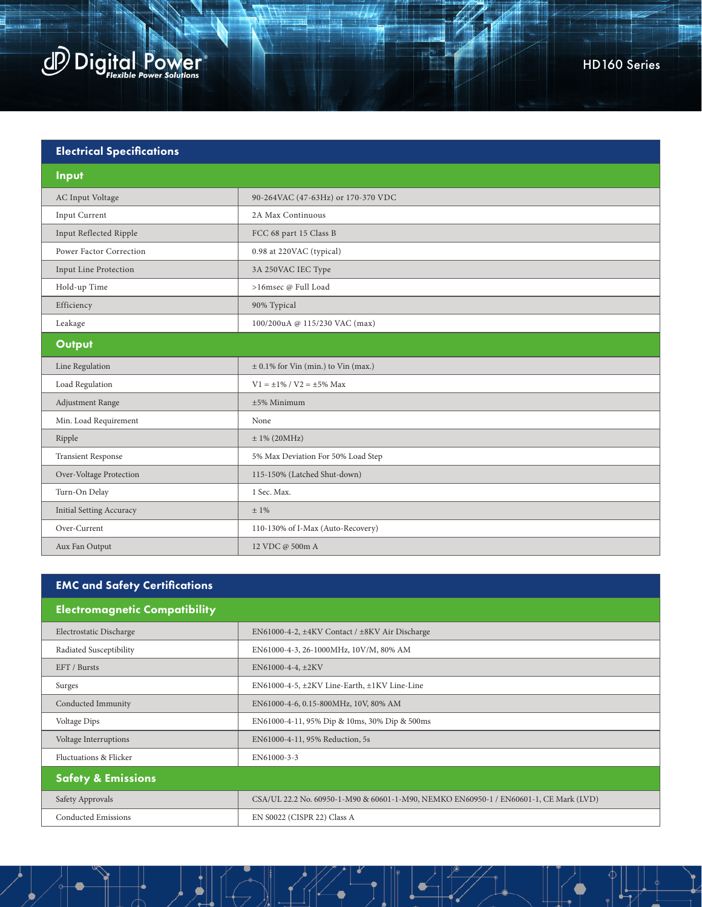

| <b>Electrical Specifications</b> |                                         |  |  |  |
|----------------------------------|-----------------------------------------|--|--|--|
| Input                            |                                         |  |  |  |
| AC Input Voltage                 | 90-264VAC (47-63Hz) or 170-370 VDC      |  |  |  |
| Input Current                    | 2A Max Continuous                       |  |  |  |
| Input Reflected Ripple           | FCC 68 part 15 Class B                  |  |  |  |
| Power Factor Correction          | 0.98 at 220VAC (typical)                |  |  |  |
| Input Line Protection            | 3A 250VAC IEC Type                      |  |  |  |
| Hold-up Time                     | >16msec @ Full Load                     |  |  |  |
| Efficiency                       | 90% Typical                             |  |  |  |
| Leakage                          | 100/200uA @ 115/230 VAC (max)           |  |  |  |
| Output                           |                                         |  |  |  |
| Line Regulation                  | $\pm$ 0.1% for Vin (min.) to Vin (max.) |  |  |  |
| Load Regulation                  | $V1 = \pm 1\% / V2 = \pm 5\%$ Max       |  |  |  |
| Adjustment Range                 | ±5% Minimum                             |  |  |  |
| Min. Load Requirement            | None                                    |  |  |  |
| Ripple                           | $± 1\% (20MHz)$                         |  |  |  |
| <b>Transient Response</b>        | 5% Max Deviation For 50% Load Step      |  |  |  |
| Over-Voltage Protection          | 115-150% (Latched Shut-down)            |  |  |  |
| Turn-On Delay                    | 1 Sec. Max.                             |  |  |  |
| <b>Initial Setting Accuracy</b>  | $±1\%$                                  |  |  |  |
| Over-Current                     | 110-130% of I-Max (Auto-Recovery)       |  |  |  |
| Aux Fan Output                   | 12 VDC @ 500m A                         |  |  |  |

| <b>EMC and Safety Certifications</b> |                                                                                       |  |  |  |  |
|--------------------------------------|---------------------------------------------------------------------------------------|--|--|--|--|
| <b>Electromagnetic Compatibility</b> |                                                                                       |  |  |  |  |
| Electrostatic Discharge              | EN61000-4-2, ±4KV Contact / ±8KV Air Discharge                                        |  |  |  |  |
| Radiated Susceptibility              | EN61000-4-3, 26-1000MHz, 10V/M, 80% AM                                                |  |  |  |  |
| EFT / Bursts                         | $EN61000-4-4, \pm 2KV$                                                                |  |  |  |  |
| Surges                               | $EN61000-4-5$ , $\pm 2KV$ Line-Earth, $\pm 1KV$ Line-Line                             |  |  |  |  |
| Conducted Immunity                   | EN61000-4-6, 0.15-800MHz, 10V, 80% AM                                                 |  |  |  |  |
| Voltage Dips                         | EN61000-4-11, 95% Dip & 10ms, 30% Dip & 500ms                                         |  |  |  |  |
| Voltage Interruptions                | EN61000-4-11, 95% Reduction, 5s                                                       |  |  |  |  |
| Fluctuations & Flicker               | EN61000-3-3                                                                           |  |  |  |  |
| <b>Safety &amp; Emissions</b>        |                                                                                       |  |  |  |  |
| Safety Approvals                     | CSA/UL 22.2 No. 60950-1-M90 & 60601-1-M90, NEMKO EN60950-1 / EN60601-1, CE Mark (LVD) |  |  |  |  |
| <b>Conducted Emissions</b>           | EN S0022 (CISPR 22) Class A                                                           |  |  |  |  |